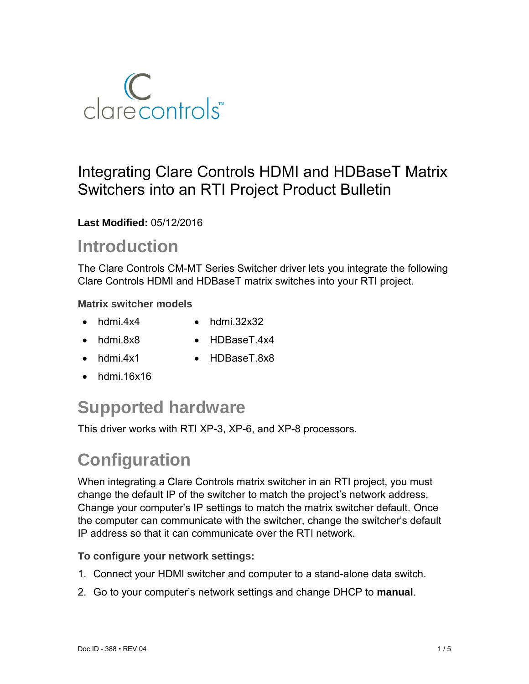

### Integrating Clare Controls HDMI and HDBaseT Matrix Switchers into an RTI Project Product Bulletin

**Last Modified:** 05/12/2016

## **Introduction**

The Clare Controls CM-MT Series Switcher driver lets you integrate the following Clare Controls HDMI and HDBaseT matrix switches into your RTI project.

#### **Matrix switcher models**

- 
- $\bullet$  hdmi.4x4  $\bullet$  hdmi.32x32
- 
- hdmi.8x8 HDBaseT.4x4
- hdmi.4x1 HDBaseT.8x8
	-
- $\bullet$  hdmi 16x16

## **Supported hardware**

This driver works with RTI XP-3, XP-6, and XP-8 processors.

# **Configuration**

When integrating a Clare Controls matrix switcher in an RTI project, you must change the default IP of the switcher to match the project's network address. Change your computer's IP settings to match the matrix switcher default. Once the computer can communicate with the switcher, change the switcher's default IP address so that it can communicate over the RTI network.

#### **To configure your network settings:**

- 1. Connect your HDMI switcher and computer to a stand-alone data switch.
- 2. Go to your computer's network settings and change DHCP to **manual**.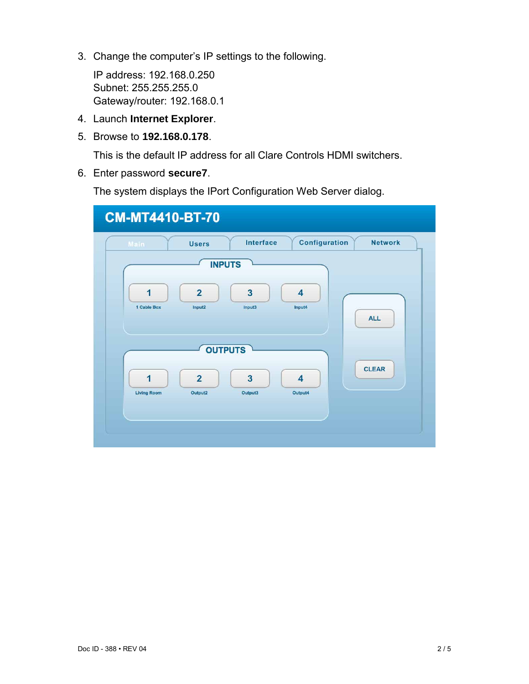3. Change the computer's IP settings to the following.

IP address: 192.168.0.250 Subnet: 255.255.255.0 Gateway/router: 192.168.0.1

- 4. Launch **Internet Explorer**.
- 5. Browse to **192.168.0.178**.

This is the default IP address for all Clare Controls HDMI switchers.

6. Enter password **secure7**.

The system displays the IPort Configuration Web Server dialog.

| Main                    | <b>Users</b>              | Interface                          | Configuration                      | <b>Network</b> |
|-------------------------|---------------------------|------------------------------------|------------------------------------|----------------|
|                         | <b>INPUTS</b>             |                                    |                                    |                |
| $\overline{1}$          | $\overline{2}$            | $\overline{\mathbf{3}}$            | $\overline{4}$                     |                |
| 1 Cable Box             | Input2                    | Input3                             | Input4                             | <b>ALL</b>     |
|                         | <b>OUTPUTS</b>            |                                    |                                    |                |
|                         |                           |                                    |                                    | <b>CLEAR</b>   |
| 1<br><b>Living Room</b> | $\overline{2}$<br>Output2 | $\overline{\mathbf{3}}$<br>Output3 | $\overline{\mathbf{4}}$<br>Output4 |                |
|                         |                           |                                    |                                    |                |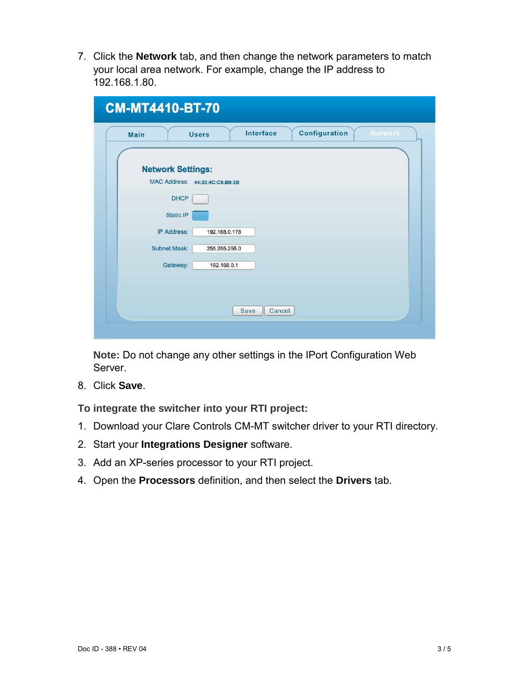7. Click the **Network** tab, and then change the network parameters to match your local area network. For example, change the IP address to 192.168.1.80.

| Main                | Interface<br>Configuration<br>Network<br><b>Users</b> |
|---------------------|-------------------------------------------------------|
|                     | <b>Network Settings:</b>                              |
|                     | MAC Address: 44:33:4C:C9:B9:3B                        |
|                     | <b>DHCP</b>                                           |
|                     | Static IP                                             |
| <b>IP Address:</b>  | 192.168.0.178                                         |
| <b>Subnet Mask:</b> | 255.255.255.0                                         |
|                     | Gateway:<br>192.168.0.1                               |
|                     |                                                       |
|                     | Cancel                                                |

**Note:** Do not change any other settings in the IPort Configuration Web Server.

8. Click **Save**.

**To integrate the switcher into your RTI project:**

- 1. Download your Clare Controls CM-MT switcher driver to your RTI directory.
- 2. Start your **Integrations Designer** software.
- 3. Add an XP-series processor to your RTI project.
- 4. Open the **Processors** definition, and then select the **Drivers** tab.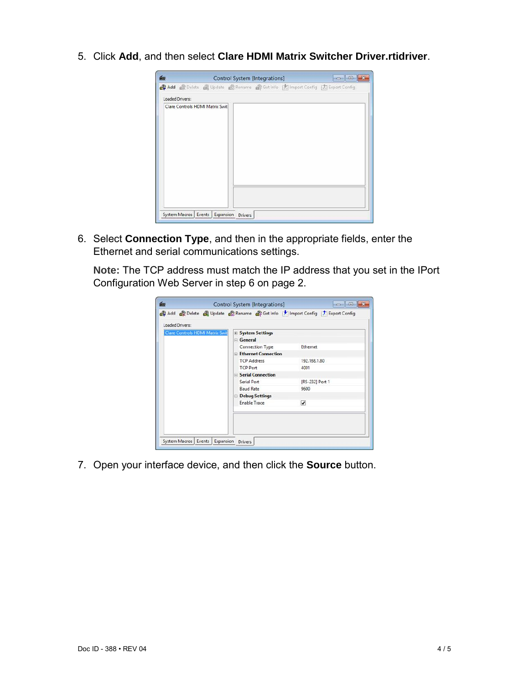5. Click **Add**, and then select **Clare HDMI Matrix Switcher Driver.rtidriver**.

| 論 |                        |                                 | Control System [Integrations] |                                                                                  |  |
|---|------------------------|---------------------------------|-------------------------------|----------------------------------------------------------------------------------|--|
|   |                        |                                 |                               | 44 Add @ Delete @ Update @ Rename @ Get Info [2] Import Config [2] Export Config |  |
|   | <b>Loaded Drivers:</b> |                                 |                               |                                                                                  |  |
|   |                        | Clare Controls HDMI Matrix Swit |                               |                                                                                  |  |
|   |                        |                                 |                               |                                                                                  |  |
|   |                        |                                 |                               |                                                                                  |  |
|   |                        |                                 |                               |                                                                                  |  |
|   |                        |                                 |                               |                                                                                  |  |
|   |                        |                                 |                               |                                                                                  |  |
|   |                        |                                 |                               |                                                                                  |  |
|   |                        |                                 |                               |                                                                                  |  |
|   |                        |                                 |                               |                                                                                  |  |
|   |                        |                                 |                               |                                                                                  |  |
|   |                        |                                 |                               |                                                                                  |  |
|   |                        |                                 |                               |                                                                                  |  |
|   |                        |                                 |                               |                                                                                  |  |

6. Select **Connection Type**, and then in the appropriate fields, enter the Ethernet and serial communications settings.

**Note:** The TCP address must match the IP address that you set in the IPort Configuration Web Server in step 6 on page 2.

| $=$ General<br>Connection Type<br>Ethernet<br>Ethernet Connection<br><b>TCP Address</b><br>192, 168, 1.80<br><b>TCP Port</b><br>4001 |                         |
|--------------------------------------------------------------------------------------------------------------------------------------|-------------------------|
|                                                                                                                                      |                         |
|                                                                                                                                      |                         |
|                                                                                                                                      |                         |
|                                                                                                                                      |                         |
|                                                                                                                                      |                         |
| <b>El Serial Connection</b>                                                                                                          |                         |
| Serial Port<br>[RS-232] Port 1                                                                                                       |                         |
| <b>Baud Rate</b><br>9600                                                                                                             |                         |
| <b>E</b> Debug Settings                                                                                                              |                         |
| <b>Enable Trace</b>                                                                                                                  |                         |
|                                                                                                                                      | $\overline{\mathbf{v}}$ |

7. Open your interface device, and then click the **Source** button.